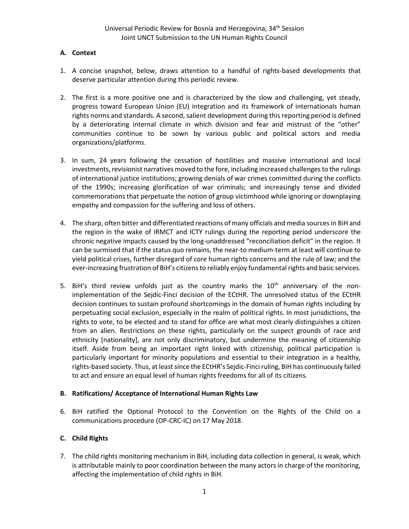# **A. Context**

- 1. A concise snapshot, below, draws attention to a handful of rights-based developments that deserve particular attention during this periodic review.
- 2. The first is a more positive one and is characterized by the slow and challenging, yet steady, progress toward European Union (EU) integration and its framework of internationals human rights norms and standards. A second, salient development during this reporting period is defined by a deteriorating internal climate in which division and fear and mistrust of the "other" communities continue to be sown by various public and political actors and media organizations/platforms.
- 3. In sum, 24 years following the cessation of hostilities and massive international and local investments, revisionist narratives moved to the fore, including increased challenges to the rulings of international justice institutions; growing denials of war crimes committed during the conflicts of the 1990s; increasing glorification of war criminals; and increasingly tense and divided commemorations that perpetuate the notion of group victimhood while ignoring or downplaying empathy and compassion for the suffering and loss of others.
- 4. The sharp, often bitter and differentiated reactions of many officials and media sources in BiH and the region in the wake of IRMCT and ICTY rulings during the reporting period underscore the chronic negative impacts caused by the long-unaddressed "reconciliation deficit" in the region. It can be surmised that if the status quo remains, the near-to medium-term at least will continue to yield political crises, further disregard of core human rights concerns and the rule of law; and the ever-increasing frustration of BiH's citizens to reliably enjoy fundamental rights and basic services.
- 5. BiH's third review unfolds just as the country marks the  $10<sup>th</sup>$  anniversary of the nonimplementation of the Sejdic-Finci decision of the ECtHR. The unresolved status of the ECtHR decision continues to sustain profound shortcomings in the domain of human rights including by perpetuating social exclusion, especially in the realm of political rights. In most jurisdictions, the rights to vote, to be elected and to stand for office are what most clearly distinguishes a citizen from an alien. Restrictions on these rights, particularly on the suspect grounds of race and ethnicity [nationality], are not only discriminatory, but undermine the meaning of citizenship itself. Aside from being an important right linked with citizenship, political participation is particularly important for minority populations and essential to their integration in a healthy, rights-based society. Thus, at least since the ECtHR's Sejdic-Finci ruling, BiH has continuously failed to act and ensure an equal level of human rights freedoms for all of its citizens.

# **B. Ratifications/ Acceptance of International Human Rights Law**

6. BiH ratified the Optional Protocol to the Convention on the Rights of the Child on a communications procedure (OP-CRC-IC) on 17 May 2018.

# **C. Child Rights**

7. The child rights monitoring mechanism in BiH, including data collection in general, is weak, which is attributable mainly to poor coordination between the many actors in charge of the monitoring, affecting the implementation of child rights in BiH.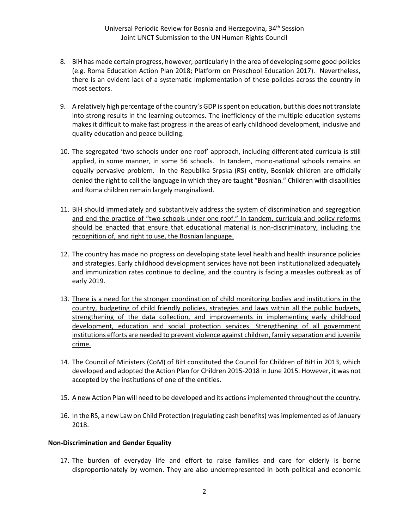- 8. BiH has made certain progress, however; particularly in the area of developing some good policies (e.g. Roma Education Action Plan 2018; Platform on Preschool Education 2017). Nevertheless, there is an evident lack of a systematic implementation of these policies across the country in most sectors.
- 9. A relatively high percentage of the country's GDP is spent on education, but this does not translate into strong results in the learning outcomes. The inefficiency of the multiple education systems makes it difficult to make fast progress in the areas of early childhood development, inclusive and quality education and peace building.
- 10. The segregated 'two schools under one roof' approach, including differentiated curricula is still applied, in some manner, in some 56 schools. In tandem, mono-national schools remains an equally pervasive problem. In the Republika Srpska (RS) entity, Bosniak children are officially denied the right to call the language in which they are taught "Bosnian." Children with disabilities and Roma children remain largely marginalized.
- 11. BiH should immediately and substantively address the system of discrimination and segregation and end the practice of "two schools under one roof." In tandem, curricula and policy reforms should be enacted that ensure that educational material is non-discriminatory, including the recognition of, and right to use, the Bosnian language.
- 12. The country has made no progress on developing state level health and health insurance policies and strategies. Early childhood development services have not been institutionalized adequately and immunization rates continue to decline, and the country is facing a measles outbreak as of early 2019.
- 13. There is a need for the stronger coordination of child monitoring bodies and institutions in the country, budgeting of child friendly policies, strategies and laws within all the public budgets, strengthening of the data collection, and improvements in implementing early childhood development, education and social protection services. Strengthening of all government institutions efforts are needed to prevent violence against children, family separation and juvenile crime.
- 14. The Council of Ministers (CoM) of BiH constituted the Council for Children of BiH in 2013, which developed and adopted the Action Plan for Children 2015-2018 in June 2015. However, it was not accepted by the institutions of one of the entities.
- 15. A new Action Plan will need to be developed and its actions implemented throughout the country.
- 16. In the RS, a new Law on Child Protection (regulating cash benefits) was implemented as of January 2018.

#### **Non-Discrimination and Gender Equality**

17. The burden of everyday life and effort to raise families and care for elderly is borne disproportionately by women. They are also underrepresented in both political and economic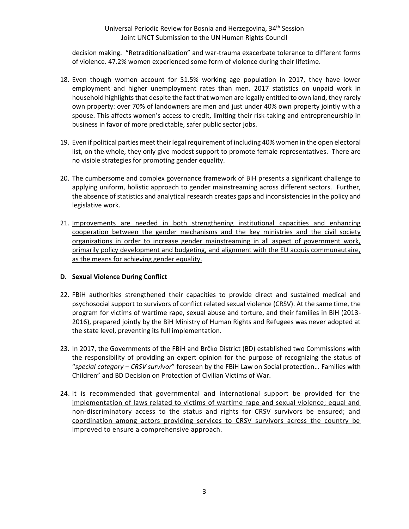### Universal Periodic Review for Bosnia and Herzegovina, 34<sup>th</sup> Session Joint UNCT Submission to the UN Human Rights Council

decision making. "Retraditionalization" and war-trauma exacerbate tolerance to different forms of violence. 47.2% women experienced some form of violence during their lifetime.

- 18. Even though women account for 51.5% working age population in 2017, they have lower employment and higher unemployment rates than men. 2017 statistics on unpaid work in household highlights that despite the fact that women are legally entitled to own land, they rarely own property: over 70% of landowners are men and just under 40% own property jointly with a spouse. This affects women's access to credit, limiting their risk-taking and entrepreneurship in business in favor of more predictable, safer public sector jobs.
- 19. Even if political parties meet their legal requirement of including 40% women in the open electoral list, on the whole, they only give modest support to promote female representatives. There are no visible strategies for promoting gender equality.
- 20. The cumbersome and complex governance framework of BiH presents a significant challenge to applying uniform, holistic approach to gender mainstreaming across different sectors.Further, the absence of statistics and analytical research creates gaps and inconsistencies in the policy and legislative work.
- 21. Improvements are needed in both strengthening institutional capacities and enhancing cooperation between the gender mechanisms and the key ministries and the civil society organizations in order to increase gender mainstreaming in all aspect of government work, primarily policy development and budgeting, and alignment with the EU acquis communautaire, as the means for achieving gender equality.

# **D. Sexual Violence During Conflict**

- 22. FBiH authorities strengthened their capacities to provide direct and sustained medical and psychosocial support to survivors of conflict related sexual violence (CRSV). At the same time, the program for victims of wartime rape, sexual abuse and torture, and their families in BiH (2013- 2016), prepared jointly by the BiH Ministry of Human Rights and Refugees was never adopted at the state level, preventing its full implementation.
- 23. In 2017, the Governments of the FBiH and Brčko District (BD) established two Commissions with the responsibility of providing an expert opinion for the purpose of recognizing the status of "*special category – CRSV survivor*" foreseen by the FBiH Law on Social protection… Families with Children" and BD Decision on Protection of Civilian Victims of War.
- 24. It is recommended that governmental and international support be provided for the implementation of laws related to victims of wartime rape and sexual violence; equal and non-discriminatory access to the status and rights for CRSV survivors be ensured; and coordination among actors providing services to CRSV survivors across the country be improved to ensure a comprehensive approach.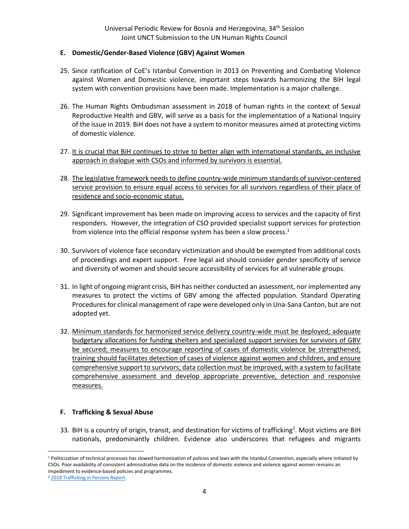#### **E. Domestic/Gender-Based Violence (GBV) Against Women**

- 25. Since ratification of CoE's Istanbul Convention in 2013 on Preventing and Combating Violence against Women and Domestic violence, important steps towards harmonizing the BiH legal system with convention provisions have been made. Implementation is a major challenge.
- 26. The Human Rights Ombudsman assessment in 2018 of human rights in the context of Sexual Reproductive Health and GBV, will serve as a basis for the implementation of a National Inquiry of the issue in 2019. BiH does not have a system to monitor measures aimed at protecting victims of domestic violence.
- 27. It is crucial that BiH continues to strive to better align with international standards, an inclusive approach in dialogue with CSOs and informed by survivors is essential.
- 28. The legislative framework needs to define country-wide minimum standards of survivor-centered service provision to ensure equal access to services for all survivors regardless of their place of residence and socio-economic status.
- 29. Significant improvement has been made on improving access to services and the capacity of first responders. However, the integration of CSO provided specialist support services for protection from violence into the official response system has been a slow process. $<sup>1</sup>$ </sup>
- 30. Survivors of violence face secondary victimization and should be exempted from additional costs of proceedings and expert support. Free legal aid should consider gender specificity of service and diversity of women and should secure accessibility of services for all vulnerable groups.
- 31. In light of ongoing migrant crisis, BiH has neither conducted an assessment, nor implemented any measures to protect the victims of GBV among the affected population. Standard Operating Procedures for clinical management of rape were developed only in Una-Sana Canton, but are not adopted yet.
- 32. Minimum standards for harmonized service delivery country-wide must be deployed; adequate budgetary allocations for funding shelters and specialized support services for survivors of GBV be secured; measures to encourage reporting of cases of domestic violence be strengthened; training should facilitates detection of cases of violence against women and children, and ensure comprehensive support to survivors; data collection must be improved, with a system to facilitate comprehensive assessment and develop appropriate preventive, detection and responsive measures.

#### **F. Trafficking & Sexual Abuse**

33. BiH is a country of origin, transit, and destination for victims of trafficking<sup>2</sup>. Most victims are BiH nationals, predominantly children. Evidence also underscores that refugees and migrants

l

<sup>&</sup>lt;sup>1</sup> Politicization of technical processes has slowed harmonization of policies and laws with the Istanbul Convention, especially where initiated by CSOs. Poor availability of consistent administrative data on the incidence of domestic violence and violence against women remains an impediment to evidence-based policies and programmes.

<sup>2</sup> [2018 Trafficking in Persons Report.](http://www.state.gov/j/tip/rls/tiprpt/2018/index.htm)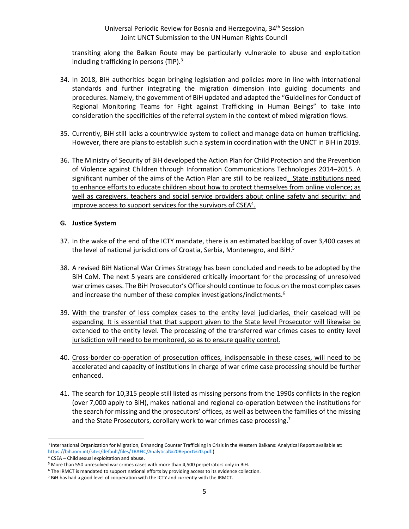#### Universal Periodic Review for Bosnia and Herzegovina, 34<sup>th</sup> Session Joint UNCT Submission to the UN Human Rights Council

transiting along the Balkan Route may be particularly vulnerable to abuse and exploitation including trafficking in persons (TIP). $3$ 

- 34. In 2018, BiH authorities began bringing legislation and policies more in line with international standards and further integrating the migration dimension into guiding documents and procedures. Namely, the government of BiH updated and adapted the "Guidelines for Conduct of Regional Monitoring Teams for Fight against Trafficking in Human Beings" to take into consideration the specificities of the referral system in the context of mixed migration flows.
- 35. Currently, BiH still lacks a countrywide system to collect and manage data on human trafficking. However, there are plans to establish such a system in coordination with the UNCT in BiH in 2019.
- 36. The Ministry of Security of BiH developed the Action Plan for Child Protection and the Prevention of Violence against Children through Information Communications Technologies 2014–2015. A significant number of the aims of the Action Plan are still to be realized. State institutions need to enhance efforts to educate children about how to protect themselves from online violence; as well as caregivers, teachers and social service providers about online safety and security; and improve access to support services for the survivors of CSEA<sup>4</sup>.

#### **G. Justice System**

- 37. In the wake of the end of the ICTY mandate, there is an estimated backlog of over 3,400 cases at the level of national jurisdictions of Croatia, Serbia, Montenegro, and BiH.<sup>5</sup>
- 38. A revised BiH National War Crimes Strategy has been concluded and needs to be adopted by the BiH CoM. The next 5 years are considered critically important for the processing of unresolved war crimes cases. The BiH Prosecutor's Office should continue to focus on the most complex cases and increase the number of these complex investigations/indictments.<sup>6</sup>
- 39. With the transfer of less complex cases to the entity level judiciaries, their caseload will be expanding. It is essential that that support given to the State level Prosecutor will likewise be extended to the entity level. The processing of the transferred war crimes cases to entity level jurisdiction will need to be monitored, so as to ensure quality control.
- 40. Cross-border co-operation of prosecution offices, indispensable in these cases, will need to be accelerated and capacity of institutions in charge of war crime case processing should be further enhanced.
- 41. The search for 10,315 people still listed as missing persons from the 1990s conflicts in the region (over 7,000 apply to BiH), makes national and regional co-operation between the institutions for the search for missing and the prosecutors' offices, as well as between the families of the missing and the State Prosecutors, corollary work to war crimes case processing.<sup>7</sup>

<sup>&</sup>lt;sup>3</sup> International Organization for Migration, Enhancing Counter Trafficking in Crisis in the Western Balkans: Analytical Report available at: [https://bih.iom.int/sites/default/files/TRAFIC/Analytical%20Report%20.pdf.\)](https://bih.iom.int/sites/default/files/TRAFIC/Analytical%20Report%20.pdf)

<sup>4</sup> CSEA – Child sexual exploitation and abuse.

<sup>5</sup> More than 550 unresolved war crimes cases with more than 4,500 perpetrators only in BiH.

<sup>&</sup>lt;sup>6</sup> The IRMCT is mandated to support national efforts by providing access to its evidence collection.

<sup>&</sup>lt;sup>7</sup> BiH has had a good level of cooperation with the ICTY and currently with the IRMCT.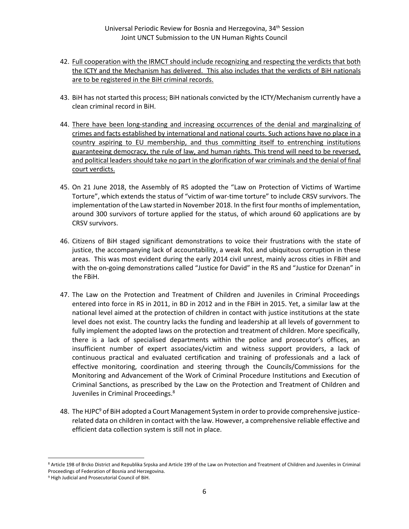- 42. Full cooperation with the IRMCT should include recognizing and respecting the verdicts that both the ICTY and the Mechanism has delivered. This also includes that the verdicts of BiH nationals are to be registered in the BiH criminal records.
- 43. BiH has not started this process; BiH nationals convicted by the ICTY/Mechanism currently have a clean criminal record in BiH.
- 44. There have been long-standing and increasing occurrences of the denial and marginalizing of crimes and facts established by international and national courts. Such actions have no place in a country aspiring to EU membership, and thus committing itself to entrenching institutions guaranteeing democracy, the rule of law, and human rights. This trend will need to be reversed, and political leaders should take no part in the glorification of war criminals and the denial of final court verdicts.
- 45. On 21 June 2018, the Assembly of RS adopted the "Law on Protection of Victims of Wartime Torture", which extends the status of "victim of war-time torture" to include CRSV survivors. The implementation of the Law started in November 2018. In the first four months of implementation, around 300 survivors of torture applied for the status, of which around 60 applications are by CRSV survivors.
- 46. Citizens of BiH staged significant demonstrations to voice their frustrations with the state of justice, the accompanying lack of accountability, a weak RoL and ubiquitous corruption in these areas. This was most evident during the early 2014 civil unrest, mainly across cities in FBiH and with the on-going demonstrations called "Justice for David" in the RS and "Justice for Dzenan" in the FBiH.
- 47. The Law on the Protection and Treatment of Children and Juveniles in Criminal Proceedings entered into force in RS in 2011, in BD in 2012 and in the FBiH in 2015. Yet, a similar law at the national level aimed at the protection of children in contact with justice institutions at the state level does not exist. The country lacks the funding and leadership at all levels of government to fully implement the adopted laws on the protection and treatment of children. More specifically, there is a lack of specialised departments within the police and prosecutor's offices, an insufficient number of expert associates/victim and witness support providers, a lack of continuous practical and evaluated certification and training of professionals and a lack of effective monitoring, coordination and steering through the Councils/Commissions for the Monitoring and Advancement of the Work of Criminal Procedure Institutions and Execution of Criminal Sanctions, as prescribed by the Law on the Protection and Treatment of Children and Juveniles in Criminal Proceedings.<sup>8</sup>
- 48. The HJPC<sup>9</sup> of BiH adopted a Court Management System in order to provide comprehensive justicerelated data on children in contact with the law. However, a comprehensive reliable effective and efficient data collection system is still not in place.

<sup>8</sup> Article 198 of Brcko District and Republika Srpska and Article 199 of the Law on Protection and Treatment of Children and Juveniles in Criminal Proceedings of Federation of Bosnia and Herzegovina.

<sup>&</sup>lt;sup>9</sup> High Judicial and Prosecutorial Council of BiH.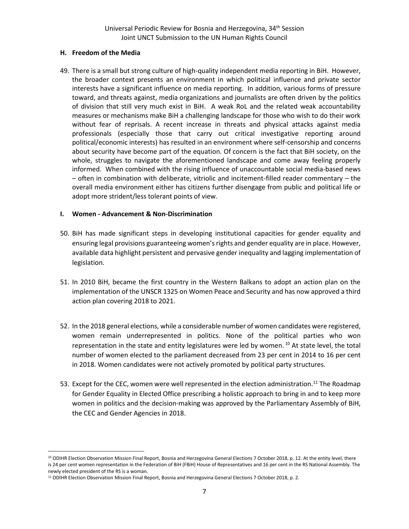#### **H. Freedom of the Media**

49. There is a small but strong culture of high-quality independent media reporting in BiH. However, the broader context presents an environment in which political influence and private sector interests have a significant influence on media reporting. In addition, various forms of pressure toward, and threats against, media organizations and journalists are often driven by the politics of division that still very much exist in BiH. A weak RoL and the related weak accountability measures or mechanisms make BiH a challenging landscape for those who wish to do their work without fear of reprisals. A recent increase in threats and physical attacks against media professionals (especially those that carry out critical investigative reporting around political/economic interests) has resulted in an environment where self-censorship and concerns about security have become part of the equation. Of concern is the fact that BiH society, on the whole, struggles to navigate the aforementioned landscape and come away feeling properly informed. When combined with the rising influence of unaccountable social media-based news – often in combination with deliberate, vitriolic and incitement-filled reader commentary – the overall media environment either has citizens further disengage from public and political life or adopt more strident/less tolerant points of view.

### **I. Women - Advancement & Non-Discrimination**

- 50. BiH has made significant steps in developing institutional capacities for gender equality and ensuring legal provisions guaranteeing women's rights and gender equality are in place. However, available data highlight persistent and pervasive gender inequality and lagging implementation of legislation.
- 51. In 2010 BiH, became the first country in the Western Balkans to adopt an action plan on the implementation of the UNSCR 1325 on Women Peace and Security and has now approved a third action plan covering 2018 to 2021.
- 52. In the 2018 general elections, while a considerable number of women candidates were registered, women remain underrepresented in politics. None of the political parties who won representation in the state and entity legislatures were led by women.<sup>10</sup> At state level, the total number of women elected to the parliament decreased from 23 per cent in 2014 to 16 per cent in 2018. Women candidates were not actively promoted by political party structures.
- 53. Except for the CEC, women were well represented in the election administration.<sup>11</sup> The Roadmap for Gender Equality in Elected Office prescribing a holistic approach to bring in and to keep more women in politics and the decision-making was approved by the Parliamentary Assembly of BiH, the CEC and Gender Agencies in 2018.

l

<sup>&</sup>lt;sup>10</sup> ODIHR Election Observation Mission Final Report, Bosnia and Herzegovina General Elections 7 October 2018, p. 12. At the entity level, there is 24 per cent women representation in the Federation of BiH (FBiH) House of Representatives and 16 per cent in the RS National Assembly. The newly elected president of the RS is a woman.

<sup>&</sup>lt;sup>11</sup> ODIHR Election Observation Mission Final Report, Bosnia and Herzegovina General Elections 7 October 2018, p. 2.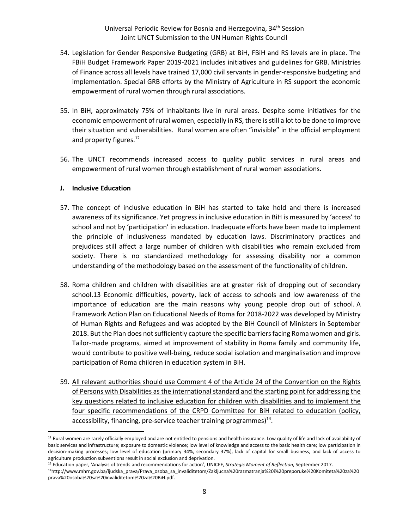- 54. Legislation for Gender Responsive Budgeting (GRB) at BiH, FBiH and RS levels are in place. The FBiH Budget Framework Paper 2019-2021 includes initiatives and guidelines for GRB. Ministries of Finance across all levels have trained 17,000 civil servants in gender-responsive budgeting and implementation. Special GRB efforts by the Ministry of Agriculture in RS support the economic empowerment of rural women through rural associations.
- 55. In BiH, approximately 75% of inhabitants live in rural areas. Despite some initiatives for the economic empowerment of rural women, especially in RS, there is still a lot to be done to improve their situation and vulnerabilities. Rural women are often "invisible" in the official employment and property figures.<sup>12</sup>
- 56. The UNCT recommends increased access to quality public services in rural areas and empowerment of rural women through establishment of rural women associations.

#### **J. Inclusive Education**

 $\overline{a}$ 

- 57. The concept of inclusive education in BiH has started to take hold and there is increased awareness of its significance. Yet progress in inclusive education in BiH is measured by 'access' to school and not by 'participation' in education. Inadequate efforts have been made to implement the principle of inclusiveness mandated by education laws. Discriminatory practices and prejudices still affect a large number of children with disabilities who remain excluded from society. There is no standardized methodology for assessing disability nor a common understanding of the methodology based on the assessment of the functionality of children.
- 58. Roma children and children with disabilities are at greater risk of dropping out of secondary school.13 Economic difficulties, poverty, lack of access to schools and low awareness of the importance of education are the main reasons why young people drop out of school. A Framework Action Plan on Educational Needs of Roma for 2018-2022 was developed by Ministry of Human Rights and Refugees and was adopted by the BiH Council of Ministers in September 2018. But the Plan does not sufficiently capture the specific barriers facing Roma women and girls. Tailor-made programs, aimed at improvement of stability in Roma family and community life, would contribute to positive well-being, reduce social isolation and marginalisation and improve participation of Roma children in education system in BiH.
- 59. All relevant authorities should use Comment 4 of the Article 24 of the Convention on the Rights of Persons with Disabilities as the international standard and the starting point for addressing the key questions related to inclusive education for children with disabilities and to implement the four specific recommendations of the CRPD Committee for BiH related to education (policy, accessibility, financing, pre-service teacher training programmes)<sup>14</sup>.

 $12$  Rural women are rarely officially employed and are not entitled to pensions and health insurance. Low quality of life and lack of availability of basic services and infrastructure; exposure to domestic violence; low level of knowledge and access to the basic health care; low participation in decision-making processes; low level of education (primary 34%, secondary 37%), lack of capital for small business, and lack of access to agriculture production subventions result in social exclusion and deprivation.

<sup>13</sup> Education paper, 'Analysis of trends and recommendations for action', UNICEF, *Strategic Moment of Reflection*, September 2017.

<sup>14</sup>http://www.mhrr.gov.ba/ljudska\_prava/Prava\_osoba\_sa\_invaliditetom/Zakljucna%20razmatranja%20i%20preporuke%20Komiteta%20za%20 prava%20osoba%20sa%20invaliditetom%20za%20BiH.pdf.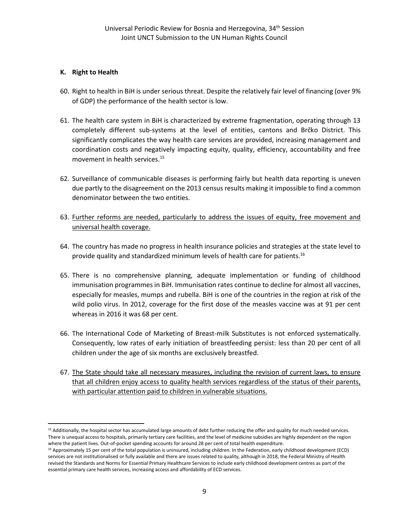# **K. Right to Health**

- 60. Right to health in BiH is under serious threat. Despite the relatively fair level of financing (over 9% of GDP) the performance of the health sector is low.
- 61. The health care system in BiH is characterized by extreme fragmentation, operating through 13 completely different sub-systems at the level of entities, cantons and Brčko District. This significantly complicates the way health care services are provided, increasing management and coordination costs and negatively impacting equity, quality, efficiency, accountability and free movement in health services.<sup>15</sup>
- 62. Surveillance of communicable diseases is performing fairly but health data reporting is uneven due partly to the disagreement on the 2013 census results making it impossible to find a common denominator between the two entities.
- 63. Further reforms are needed, particularly to address the issues of equity, free movement and universal health coverage.
- 64. The country has made no progress in health insurance policies and strategies at the state level to provide quality and standardized minimum levels of health care for patients.<sup>16</sup>
- 65. There is no comprehensive planning, adequate implementation or funding of childhood immunisation programmes in BiH. Immunisation rates continue to decline for almost all vaccines, especially for measles, mumps and rubella. BiH is one of the countries in the region at risk of the wild polio virus. In 2012, coverage for the first dose of the measles vaccine was at 91 per cent whereas in 2016 it was 68 per cent.
- 66. The International Code of Marketing of Breast-milk Substitutes is not enforced systematically. Consequently, low rates of early initiation of breastfeeding persist: less than 20 per cent of all children under the age of six months are exclusively breastfed.
- 67. The State should take all necessary measures, including the revision of current laws, to ensure that all children enjoy access to quality health services regardless of the status of their parents, with particular attention paid to children in vulnerable situations.

 $\overline{\phantom{a}}$  $15$  Additionally, the hospital sector has accumulated large amounts of debt further reducing the offer and quality for much needed services. There is unequal access to hospitals, primarily tertiary care facilities, and the level of medicine subsidies are highly dependent on the region where the patient lives. Out-of-pocket spending accounts for around 28 per cent of total health expenditure.

<sup>&</sup>lt;sup>16</sup> Approximately 15 per cent of the total population is uninsured, including children. In the Federation, early childhood development (ECD) services are not institutionalised or fully available and there are issues related to quality, although in 2018, the Federal Ministry of Health revised the Standards and Norms for Essential Primary Healthcare Services to include early childhood development centres as part of the essential primary care health services, increasing access and affordability of ECD services.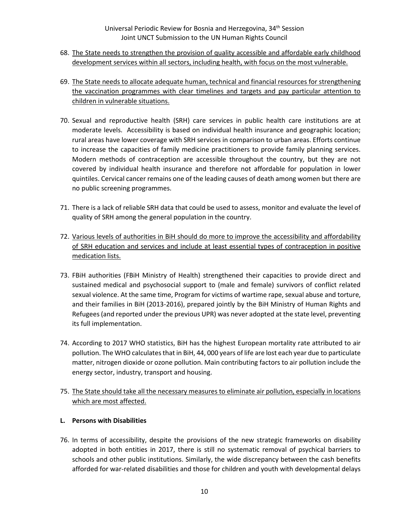- 68. The State needs to strengthen the provision of quality accessible and affordable early childhood development services within all sectors, including health, with focus on the most vulnerable.
- 69. The State needs to allocate adequate human, technical and financial resources for strengthening the vaccination programmes with clear timelines and targets and pay particular attention to children in vulnerable situations.
- 70. Sexual and reproductive health (SRH) care services in public health care institutions are at moderate levels. Accessibility is based on individual health insurance and geographic location; rural areas have lower coverage with SRH services in comparison to urban areas. Efforts continue to increase the capacities of family medicine practitioners to provide family planning services. Modern methods of contraception are accessible throughout the country, but they are not covered by individual health insurance and therefore not affordable for population in lower quintiles. Cervical cancer remains one of the leading causes of death among women but there are no public screening programmes.
- 71. There is a lack of reliable SRH data that could be used to assess, monitor and evaluate the level of quality of SRH among the general population in the country.
- 72. Various levels of authorities in BiH should do more to improve the accessibility and affordability of SRH education and services and include at least essential types of contraception in positive medication lists.
- 73. FBiH authorities (FBiH Ministry of Health) strengthened their capacities to provide direct and sustained medical and psychosocial support to (male and female) survivors of conflict related sexual violence. At the same time, Program for victims of wartime rape, sexual abuse and torture, and their families in BiH (2013-2016), prepared jointly by the BiH Ministry of Human Rights and Refugees (and reported under the previous UPR) was never adopted at the state level, preventing its full implementation.
- 74. According to 2017 WHO statistics, BiH has the highest European mortality rate attributed to air pollution. The WHO calculates that in BiH, 44, 000 years of life are lost each year due to particulate matter, nitrogen dioxide or ozone pollution. Main contributing factors to air pollution include the energy sector, industry, transport and housing.
- 75. The State should take all the necessary measures to eliminate air pollution, especially in locations which are most affected.

# **L. Persons with Disabilities**

76. In terms of accessibility, despite the provisions of the new strategic frameworks on disability adopted in both entities in 2017, there is still no systematic removal of psychical barriers to schools and other public institutions. Similarly, the wide discrepancy between the cash benefits afforded for war-related disabilities and those for children and youth with developmental delays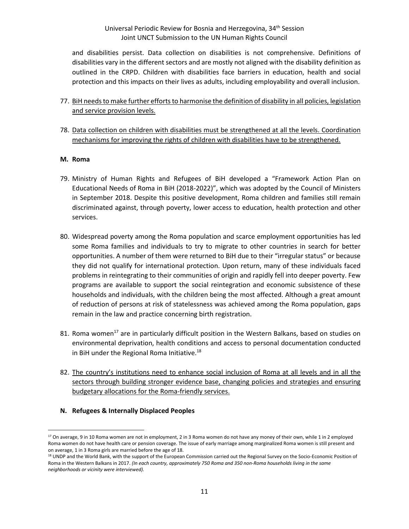### Universal Periodic Review for Bosnia and Herzegovina, 34<sup>th</sup> Session Joint UNCT Submission to the UN Human Rights Council

and disabilities persist. Data collection on disabilities is not comprehensive. Definitions of disabilities vary in the different sectors and are mostly not aligned with the disability definition as outlined in the CRPD. Children with disabilities face barriers in education, health and social protection and this impacts on their lives as adults, including employability and overall inclusion.

- 77. BiH needs to make further efforts to harmonise the definition of disability in all policies, legislation and service provision levels.
- 78. Data collection on children with disabilities must be strengthened at all the levels. Coordination mechanisms for improving the rights of children with disabilities have to be strengthened.

### **M. Roma**

- 79. Ministry of Human Rights and Refugees of BiH developed a "Framework Action Plan on Educational Needs of Roma in BiH (2018-2022)", which was adopted by the Council of Ministers in September 2018. Despite this positive development, Roma children and families still remain discriminated against, through poverty, lower access to education, health protection and other services.
- 80. Widespread poverty among the Roma population and scarce employment opportunities has led some Roma families and individuals to try to migrate to other countries in search for better opportunities. A number of them were returned to BiH due to their "irregular status" or because they did not qualify for international protection. Upon return, many of these individuals faced problems in reintegrating to their communities of origin and rapidly fell into deeper poverty. Few programs are available to support the social reintegration and economic subsistence of these households and individuals, with the children being the most affected. Although a great amount of reduction of persons at risk of statelessness was achieved among the Roma population, gaps remain in the law and practice concerning birth registration.
- 81. Roma women<sup>17</sup> are in particularly difficult position in the Western Balkans, based on studies on environmental deprivation, health conditions and access to personal documentation conducted in BiH under the Regional Roma Initiative.<sup>18</sup>
- 82. The country's institutions need to enhance social inclusion of Roma at all levels and in all the sectors through building stronger evidence base, changing policies and strategies and ensuring budgetary allocations for the Roma-friendly services.
- **N. Refugees & Internally Displaced Peoples**

<sup>&</sup>lt;sup>17</sup> On average, 9 in 10 Roma women are not in employment, 2 in 3 Roma women do not have any money of their own, while 1 in 2 employed Roma women do not have health care or pension coverage. The issue of early marriage among marginalized Roma women is still present and on average, 1 in 3 Roma girls are married before the age of 18.

<sup>&</sup>lt;sup>18</sup> UNDP and the World Bank, with the support of the European Commission carried out the Regional Survey on the Socio-Economic Position of Roma in the Western Balkans in 2017. *(In each country, approximately 750 Roma and 350 non-Roma households living in the same neighborhoods or vicinity were interviewed).*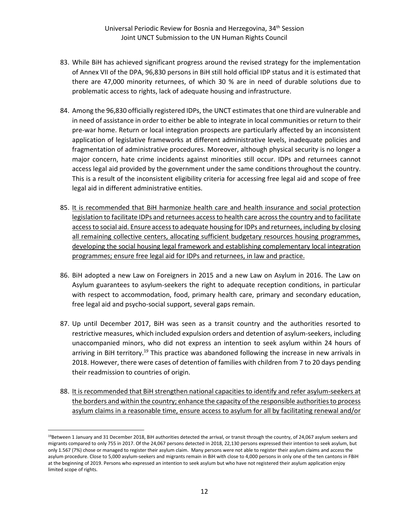- 83. While BiH has achieved significant progress around the revised strategy for the implementation of Annex VII of the DPA, 96,830 persons in BiH still hold official IDP status and it is estimated that there are 47,000 minority returnees, of which 30 % are in need of durable solutions due to problematic access to rights, lack of adequate housing and infrastructure.
- 84. Among the 96,830 officially registered IDPs, the UNCT estimates that one third are vulnerable and in need of assistance in order to either be able to integrate in local communities or return to their pre-war home. Return or local integration prospects are particularly affected by an inconsistent application of legislative frameworks at different administrative levels, inadequate policies and fragmentation of administrative procedures. Moreover, although physical security is no longer a major concern, hate crime incidents against minorities still occur. IDPs and returnees cannot access legal aid provided by the government under the same conditions throughout the country. This is a result of the inconsistent eligibility criteria for accessing free legal aid and scope of free legal aid in different administrative entities.
- 85. It is recommended that BiH harmonize health care and health insurance and social protection legislation to facilitate IDPs and returnees access to health care across the country and to facilitate access to social aid. Ensure access to adequate housing for IDPs and returnees, including by closing all remaining collective centers, allocating sufficient budgetary resources housing programmes, developing the social housing legal framework and establishing complementary local integration programmes; ensure free legal aid for IDPs and returnees, in law and practice.
- 86. BiH adopted a new Law on Foreigners in 2015 and a new Law on Asylum in 2016. The Law on Asylum guarantees to asylum-seekers the right to adequate reception conditions, in particular with respect to accommodation, food, primary health care, primary and secondary education, free legal aid and psycho-social support, several gaps remain.
- 87. Up until December 2017, BiH was seen as a transit country and the authorities resorted to restrictive measures, which included expulsion orders and detention of asylum-seekers, including unaccompanied minors, who did not express an intention to seek asylum within 24 hours of arriving in BiH territory.<sup>19</sup> This practice was abandoned following the increase in new arrivals in 2018. However, there were cases of detention of families with children from 7 to 20 days pending their readmission to countries of origin.
- 88. It is recommended that BiH strengthen national capacities to identify and refer asylum-seekers at the borders and within the country; enhance the capacity of the responsible authorities to process asylum claims in a reasonable time, ensure access to asylum for all by facilitating renewal and/or

<sup>&</sup>lt;sup>19</sup>Between 1 January and 31 December 2018, BiH authorities detected the arrival, or transit through the country, of 24,067 asylum seekers and migrants compared to only 755 in 2017. Of the 24,067 persons detected in 2018, 22,130 persons expressed their intention to seek asylum, but only 1.567 (7%) chose or managed to register their asylum claim. Many persons were not able to register their asylum claims and access the asylum procedure. Close to 5,000 asylum-seekers and migrants remain in BiH with close to 4,000 persons in only one of the ten cantons in FBiH at the beginning of 2019. Persons who expressed an intention to seek asylum but who have not registered their asylum application enjoy limited scope of rights.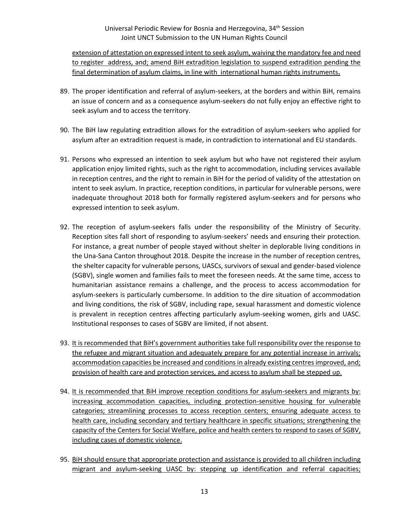extension of attestation on expressed intent to seek asylum, waiving the mandatory fee and need to register address, and; amend BiH extradition legislation to suspend extradition pending the final determination of asylum claims, in line with international human rights instruments**.**

- 89. The proper identification and referral of asylum-seekers, at the borders and within BiH, remains an issue of concern and as a consequence asylum-seekers do not fully enjoy an effective right to seek asylum and to access the territory.
- 90. The BiH law regulating extradition allows for the extradition of asylum-seekers who applied for asylum after an extradition request is made, in contradiction to international and EU standards.
- 91. Persons who expressed an intention to seek asylum but who have not registered their asylum application enjoy limited rights, such as the right to accommodation, including services available in reception centres, and the right to remain in BiH for the period of validity of the attestation on intent to seek asylum. In practice, reception conditions, in particular for vulnerable persons, were inadequate throughout 2018 both for formally registered asylum-seekers and for persons who expressed intention to seek asylum.
- 92. The reception of asylum-seekers falls under the responsibility of the Ministry of Security. Reception sites fall short of responding to asylum-seekers' needs and ensuring their protection. For instance, a great number of people stayed without shelter in deplorable living conditions in the Una-Sana Canton throughout 2018. Despite the increase in the number of reception centres, the shelter capacity for vulnerable persons, UASCs, survivors of sexual and gender-based violence (SGBV), single women and families fails to meet the foreseen needs. At the same time, access to humanitarian assistance remains a challenge, and the process to access accommodation for asylum-seekers is particularly cumbersome. In addition to the dire situation of accommodation and living conditions, the risk of SGBV, including rape, sexual harassment and domestic violence is prevalent in reception centres affecting particularly asylum-seeking women, girls and UASC. Institutional responses to cases of SGBV are limited, if not absent.
- 93. It is recommended that BiH's government authorities take full responsibility over the response to the refugee and migrant situation and adequately prepare for any potential increase in arrivals; accommodation capacities be increased and conditions in already existing centres improved, and; provision of health care and protection services, and access to asylum shall be stepped up.
- 94. It is recommended that BiH improve reception conditions for asylum-seekers and migrants by: increasing accommodation capacities, including protection-sensitive housing for vulnerable categories; streamlining processes to access reception centers; ensuring adequate access to health care, including secondary and tertiary healthcare in specific situations; strengthening the capacity of the Centers for Social Welfare, police and health centers to respond to cases of SGBV, including cases of domestic violence.
- 95. BiH should ensure that appropriate protection and assistance is provided to all children including migrant and asylum-seeking UASC by: stepping up identification and referral capacities;